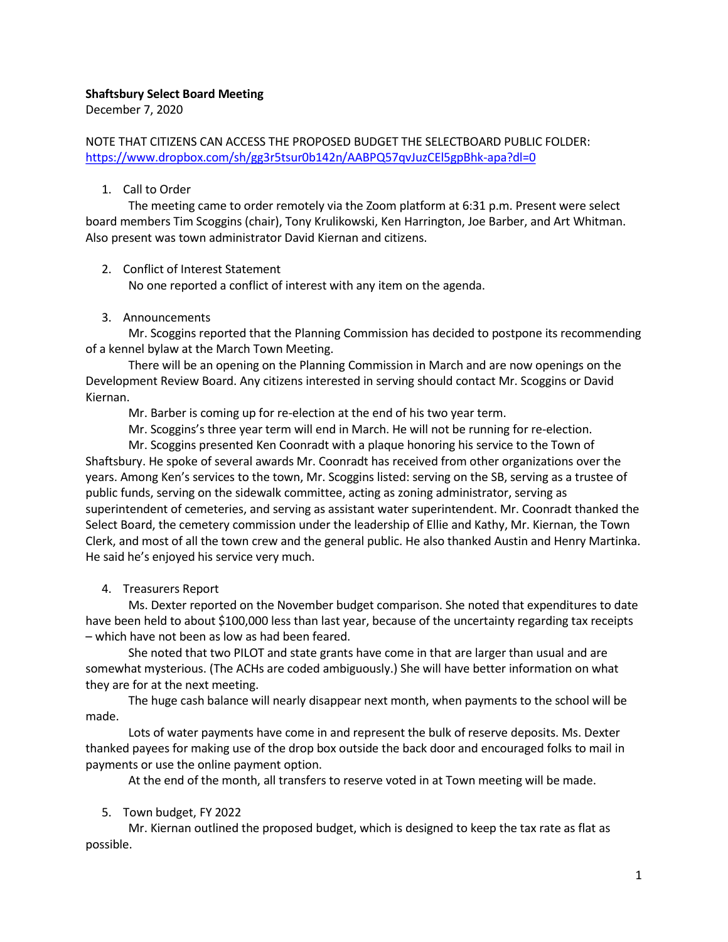### Shaftsbury Select Board Meeting

December 7, 2020

NOTE THAT CITIZENS CAN ACCESS THE PROPOSED BUDGET THE SELECTBOARD PUBLIC FOLDER: <https://www.dropbox.com/sh/gg3r5tsur0b142n/AABPQ57qvJuzCEl5gpBhk-apa?dl=0>

### 1. Call to Order

The meeting came to order remotely via the Zoom platform at 6:31 p.m. Present were select board members Tim Scoggins (chair), Tony Krulikowski, Ken Harrington, Joe Barber, and Art Whitman. Also present was town administrator David Kiernan and citizens.

## 2. Conflict of Interest Statement

No one reported a conflict of interest with any item on the agenda.

## 3. Announcements

Mr. Scoggins reported that the Planning Commission has decided to postpone its recommending of a kennel bylaw at the March Town Meeting.

There will be an opening on the Planning Commission in March and are now openings on the Development Review Board. Any citizens interested in serving should contact Mr. Scoggins or David Kiernan.

Mr. Barber is coming up for re-election at the end of his two year term.

Mr. Scoggins's three year term will end in March. He will not be running for re-election.

Mr. Scoggins presented Ken Coonradt with a plaque honoring his service to the Town of Shaftsbury. He spoke of several awards Mr. Coonradt has received from other organizations over the years. Among Ken's services to the town, Mr. Scoggins listed: serving on the SB, serving as a trustee of public funds, serving on the sidewalk committee, acting as zoning administrator, serving as superintendent of cemeteries, and serving as assistant water superintendent. Mr. Coonradt thanked the Select Board, the cemetery commission under the leadership of Ellie and Kathy, Mr. Kiernan, the Town Clerk, and most of all the town crew and the general public. He also thanked Austin and Henry Martinka. He said he's enjoyed his service very much.

# 4. Treasurers Report

Ms. Dexter reported on the November budget comparison. She noted that expenditures to date have been held to about \$100,000 less than last year, because of the uncertainty regarding tax receipts – which have not been as low as had been feared.

She noted that two PILOT and state grants have come in that are larger than usual and are somewhat mysterious. (The ACHs are coded ambiguously.) She will have better information on what they are for at the next meeting.

The huge cash balance will nearly disappear next month, when payments to the school will be made.

Lots of water payments have come in and represent the bulk of reserve deposits. Ms. Dexter thanked payees for making use of the drop box outside the back door and encouraged folks to mail in payments or use the online payment option.

At the end of the month, all transfers to reserve voted in at Town meeting will be made.

# 5. Town budget, FY 2022

Mr. Kiernan outlined the proposed budget, which is designed to keep the tax rate as flat as possible.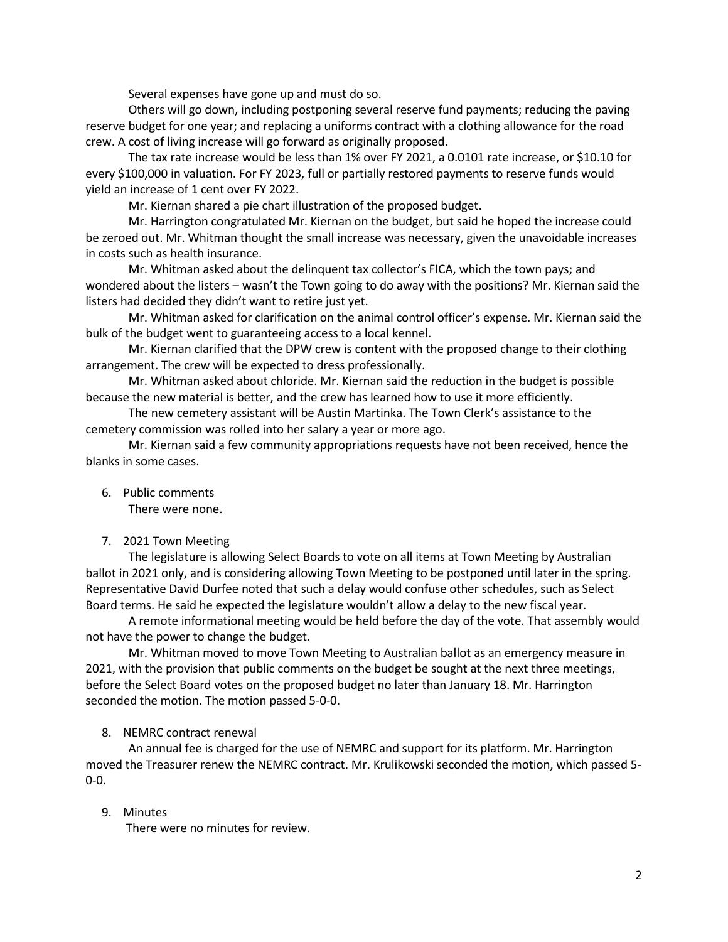Several expenses have gone up and must do so.

Others will go down, including postponing several reserve fund payments; reducing the paving reserve budget for one year; and replacing a uniforms contract with a clothing allowance for the road crew. A cost of living increase will go forward as originally proposed.

The tax rate increase would be less than 1% over FY 2021, a 0.0101 rate increase, or \$10.10 for every \$100,000 in valuation. For FY 2023, full or partially restored payments to reserve funds would yield an increase of 1 cent over FY 2022.

Mr. Kiernan shared a pie chart illustration of the proposed budget.

Mr. Harrington congratulated Mr. Kiernan on the budget, but said he hoped the increase could be zeroed out. Mr. Whitman thought the small increase was necessary, given the unavoidable increases in costs such as health insurance.

Mr. Whitman asked about the delinquent tax collector's FICA, which the town pays; and wondered about the listers – wasn't the Town going to do away with the positions? Mr. Kiernan said the listers had decided they didn't want to retire just yet.

Mr. Whitman asked for clarification on the animal control officer's expense. Mr. Kiernan said the bulk of the budget went to guaranteeing access to a local kennel.

Mr. Kiernan clarified that the DPW crew is content with the proposed change to their clothing arrangement. The crew will be expected to dress professionally.

Mr. Whitman asked about chloride. Mr. Kiernan said the reduction in the budget is possible because the new material is better, and the crew has learned how to use it more efficiently.

The new cemetery assistant will be Austin Martinka. The Town Clerk's assistance to the cemetery commission was rolled into her salary a year or more ago.

Mr. Kiernan said a few community appropriations requests have not been received, hence the blanks in some cases.

6. Public comments

There were none.

#### 7. 2021 Town Meeting

The legislature is allowing Select Boards to vote on all items at Town Meeting by Australian ballot in 2021 only, and is considering allowing Town Meeting to be postponed until later in the spring. Representative David Durfee noted that such a delay would confuse other schedules, such as Select Board terms. He said he expected the legislature wouldn't allow a delay to the new fiscal year.

A remote informational meeting would be held before the day of the vote. That assembly would not have the power to change the budget.

Mr. Whitman moved to move Town Meeting to Australian ballot as an emergency measure in 2021, with the provision that public comments on the budget be sought at the next three meetings, before the Select Board votes on the proposed budget no later than January 18. Mr. Harrington seconded the motion. The motion passed 5-0-0.

### 8. NEMRC contract renewal

An annual fee is charged for the use of NEMRC and support for its platform. Mr. Harrington moved the Treasurer renew the NEMRC contract. Mr. Krulikowski seconded the motion, which passed 5- 0-0.

#### 9. Minutes

There were no minutes for review.